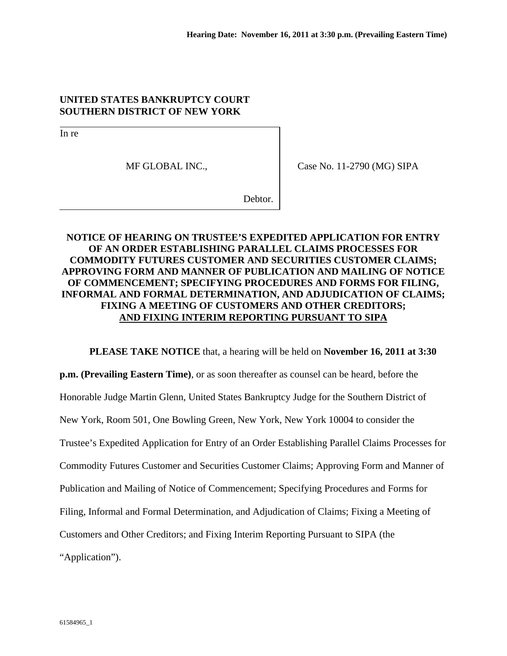## **UNITED STATES BANKRUPTCY COURT SOUTHERN DISTRICT OF NEW YORK**

In re

MF GLOBAL INC.,

Case No. 11-2790 (MG) SIPA

Debtor.

## **NOTICE OF HEARING ON TRUSTEE'S EXPEDITED APPLICATION FOR ENTRY OF AN ORDER ESTABLISHING PARALLEL CLAIMS PROCESSES FOR COMMODITY FUTURES CUSTOMER AND SECURITIES CUSTOMER CLAIMS; APPROVING FORM AND MANNER OF PUBLICATION AND MAILING OF NOTICE OF COMMENCEMENT; SPECIFYING PROCEDURES AND FORMS FOR FILING, INFORMAL AND FORMAL DETERMINATION, AND ADJUDICATION OF CLAIMS; FIXING A MEETING OF CUSTOMERS AND OTHER CREDITORS; AND FIXING INTERIM REPORTING PURSUANT TO SIPA**

 **PLEASE TAKE NOTICE** that, a hearing will be held on **November 16, 2011 at 3:30 p.m. (Prevailing Eastern Time)**, or as soon thereafter as counsel can be heard, before the Honorable Judge Martin Glenn, United States Bankruptcy Judge for the Southern District of New York, Room 501, One Bowling Green, New York, New York 10004 to consider the Trustee's Expedited Application for Entry of an Order Establishing Parallel Claims Processes for Commodity Futures Customer and Securities Customer Claims; Approving Form and Manner of Publication and Mailing of Notice of Commencement; Specifying Procedures and Forms for Filing, Informal and Formal Determination, and Adjudication of Claims; Fixing a Meeting of Customers and Other Creditors; and Fixing Interim Reporting Pursuant to SIPA (the "Application").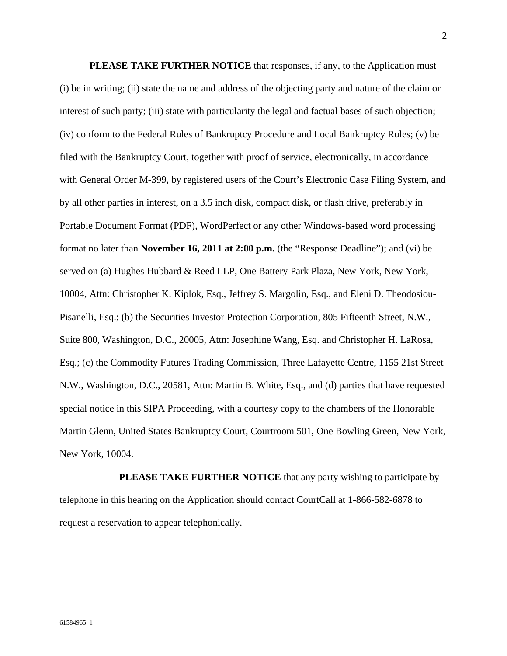**PLEASE TAKE FURTHER NOTICE** that responses, if any, to the Application must (i) be in writing; (ii) state the name and address of the objecting party and nature of the claim or interest of such party; (iii) state with particularity the legal and factual bases of such objection; (iv) conform to the Federal Rules of Bankruptcy Procedure and Local Bankruptcy Rules; (v) be filed with the Bankruptcy Court, together with proof of service, electronically, in accordance with General Order M-399, by registered users of the Court's Electronic Case Filing System, and by all other parties in interest, on a 3.5 inch disk, compact disk, or flash drive, preferably in Portable Document Format (PDF), WordPerfect or any other Windows-based word processing format no later than **November 16, 2011 at 2:00 p.m.** (the "Response Deadline"); and (vi) be served on (a) Hughes Hubbard & Reed LLP, One Battery Park Plaza, New York, New York, 10004, Attn: Christopher K. Kiplok, Esq., Jeffrey S. Margolin, Esq., and Eleni D. Theodosiou-Pisanelli, Esq.; (b) the Securities Investor Protection Corporation, 805 Fifteenth Street, N.W., Suite 800, Washington, D.C., 20005, Attn: Josephine Wang, Esq. and Christopher H. LaRosa, Esq.; (c) the Commodity Futures Trading Commission, Three Lafayette Centre, 1155 21st Street N.W., Washington, D.C., 20581, Attn: Martin B. White, Esq., and (d) parties that have requested special notice in this SIPA Proceeding, with a courtesy copy to the chambers of the Honorable Martin Glenn, United States Bankruptcy Court, Courtroom 501, One Bowling Green, New York, New York, 10004.

**PLEASE TAKE FURTHER NOTICE** that any party wishing to participate by telephone in this hearing on the Application should contact CourtCall at 1-866-582-6878 to request a reservation to appear telephonically.